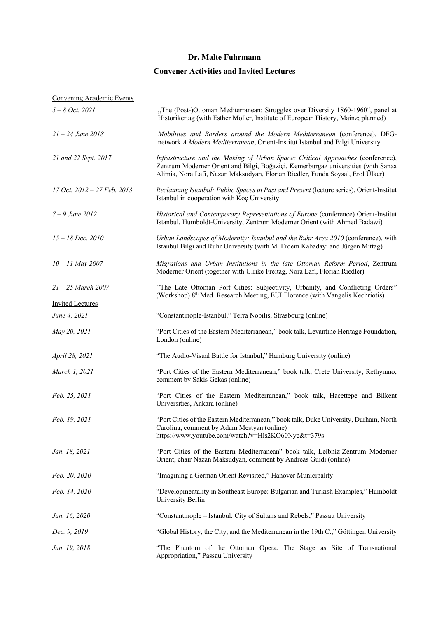### **Convener Activities and Invited Lectures**

| <b>Convening Academic Events</b> |                                                                                                                                                                                                                                                        |
|----------------------------------|--------------------------------------------------------------------------------------------------------------------------------------------------------------------------------------------------------------------------------------------------------|
| $5 - 8$ Oct. 2021                | "The (Post-)Ottoman Mediterranean: Struggles over Diversity 1860-1960", panel at<br>Historikertag (with Esther Möller, Institute of European History, Mainz; planned)                                                                                  |
| $21 - 24$ June 2018              | Mobilities and Borders around the Modern Mediterranean (conference), DFG-<br>network A Modern Mediterranean, Orient-Institut Istanbul and Bilgi University                                                                                             |
| 21 and 22 Sept. 2017             | Infrastructure and the Making of Urban Space: Critical Approaches (conference),<br>Zentrum Moderner Orient and Bilgi, Boğaziçi, Kemerburgaz universities (with Sanaa<br>Alimia, Nora Lafi, Nazan Maksudyan, Florian Riedler, Funda Soysal, Erol Ülker) |
| 17 Oct. 2012 - 27 Feb. 2013      | Reclaiming Istanbul: Public Spaces in Past and Present (lecture series), Orient-Institut<br>Istanbul in cooperation with Koç University                                                                                                                |
| $7 - 9$ June 2012                | Historical and Contemporary Representations of Europe (conference) Orient-Institut<br>Istanbul, Humboldt-University, Zentrum Moderner Orient (with Ahmed Badawi)                                                                                       |
| $15 - 18$ Dec. $2010$            | Urban Landscapes of Modernity: Istanbul and the Ruhr Area 2010 (conference), with<br>Istanbul Bilgi and Ruhr University (with M. Erdem Kabadayı and Jürgen Mittag)                                                                                     |
| $10 - 11$ May 2007               | Migrations and Urban Institutions in the late Ottoman Reform Period, Zentrum<br>Moderner Orient (together with Ulrike Freitag, Nora Lafi, Florian Riedler)                                                                                             |
| $21 - 25$ March 2007             | "The Late Ottoman Port Cities: Subjectivity, Urbanity, and Conflicting Orders"<br>(Workshop) 8 <sup>th</sup> Med. Research Meeting, EUI Florence (with Vangelis Kechriotis)                                                                            |
| <b>Invited Lectures</b>          |                                                                                                                                                                                                                                                        |
| June 4, 2021                     | "Constantinople-Istanbul," Terra Nobilis, Strasbourg (online)                                                                                                                                                                                          |
| May 20, 2021                     | "Port Cities of the Eastern Mediterranean," book talk, Levantine Heritage Foundation,<br>London (online)                                                                                                                                               |
| April 28, 2021                   | "The Audio-Visual Battle for Istanbul," Hamburg University (online)                                                                                                                                                                                    |
| March 1, 2021                    | "Port Cities of the Eastern Mediterranean," book talk, Crete University, Rethymno;<br>comment by Sakis Gekas (online)                                                                                                                                  |
| Feb. 25, 2021                    | "Port Cities of the Eastern Mediterranean," book talk, Hacettepe and Bilkent<br>Universities, Ankara (online)                                                                                                                                          |
| Feb. 19, 2021                    | "Port Cities of the Eastern Mediterranean," book talk, Duke University, Durham, North<br>Carolina; comment by Adam Mestyan (online)<br>https://www.youtube.com/watch?v=Hls2KO60Nyc&t=379s                                                              |
| Jan. 18, 2021                    | "Port Cities of the Eastern Mediterranean" book talk, Leibniz-Zentrum Moderner<br>Orient; chair Nazan Maksudyan, comment by Andreas Guidi (online)                                                                                                     |
| Feb. 20, 2020                    | "Imagining a German Orient Revisited," Hanover Municipality                                                                                                                                                                                            |
| Feb. 14, 2020                    | "Developmentality in Southeast Europe: Bulgarian and Turkish Examples," Humboldt<br>University Berlin                                                                                                                                                  |
| Jan. 16, 2020                    | "Constantinople - Istanbul: City of Sultans and Rebels," Passau University                                                                                                                                                                             |
| Dec. 9, 2019                     | "Global History, the City, and the Mediterranean in the 19th C.," Göttingen University                                                                                                                                                                 |
| Jan. 19, 2018                    | "The Phantom of the Ottoman Opera: The Stage as Site of Transnational<br>Appropriation," Passau University                                                                                                                                             |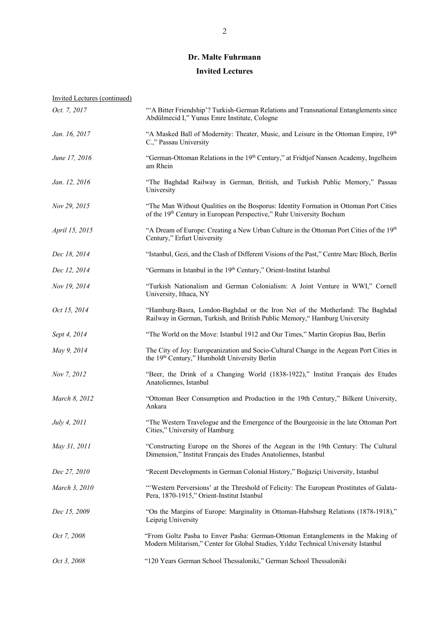#### **Invited Lectures**

| Oct. 7, 2017   | "A Bitter Friendship'? Turkish-German Relations and Transnational Entanglements since<br>Abdülmecid I," Yunus Emre Institute, Cologne                                  |
|----------------|------------------------------------------------------------------------------------------------------------------------------------------------------------------------|
| Jan. 16, 2017  | "A Masked Ball of Modernity: Theater, Music, and Leisure in the Ottoman Empire, 19th<br>C.," Passau University                                                         |
| June 17, 2016  | "German-Ottoman Relations in the 19 <sup>th</sup> Century," at Fridtjof Nansen Academy, Ingelheim<br>am Rhein                                                          |
| Jan. 12, 2016  | "The Baghdad Railway in German, British, and Turkish Public Memory," Passau<br>University                                                                              |
| Nov 29, 2015   | "The Man Without Qualities on the Bosporus: Identity Formation in Ottoman Port Cities<br>of the 19th Century in European Perspective," Ruhr University Bochum          |
| April 15, 2015 | "A Dream of Europe: Creating a New Urban Culture in the Ottoman Port Cities of the 19th<br>Century," Erfurt University                                                 |
| Dec 18, 2014   | "Istanbul, Gezi, and the Clash of Different Visions of the Past," Centre Marc Bloch, Berlin                                                                            |
| Dec 12, 2014   | "Germans in Istanbul in the 19th Century," Orient-Institut Istanbul                                                                                                    |
| Nov 19, 2014   | "Turkish Nationalism and German Colonialism: A Joint Venture in WWI," Cornell<br>University, Ithaca, NY                                                                |
| Oct 15, 2014   | "Hamburg-Basra, London-Baghdad or the Iron Net of the Motherland: The Baghdad<br>Railway in German, Turkish, and British Public Memory," Hamburg University            |
| Sept 4, 2014   | "The World on the Move: Istanbul 1912 and Our Times," Martin Gropius Bau, Berlin                                                                                       |
| May 9, 2014    | The City of Joy: Europeanization and Socio-Cultural Change in the Aegean Port Cities in<br>the 19 <sup>th</sup> Century," Humboldt University Berlin                   |
| Nov 7, 2012    | "Beer, the Drink of a Changing World (1838-1922)," Institut Français des Etudes<br>Anatoliennes, Istanbul                                                              |
| March 8, 2012  | "Ottoman Beer Consumption and Production in the 19th Century," Bilkent University,<br>Ankara                                                                           |
| July 4, 2011   | "The Western Travelogue and the Emergence of the Bourgeoisie in the late Ottoman Port<br>Cities," University of Hamburg                                                |
| May 31, 2011   | "Constructing Europe on the Shores of the Aegean in the 19th Century: The Cultural<br>Dimension," Institut Français des Etudes Anatoliennes, Istanbul                  |
| Dec 27, 2010   | "Recent Developments in German Colonial History," Boğaziçi University, Istanbul                                                                                        |
| March 3, 2010  | "Western Perversions' at the Threshold of Felicity: The European Prostitutes of Galata-<br>Pera, 1870-1915," Orient-Institut Istanbul                                  |
| Dec 15, 2009   | "On the Margins of Europe: Marginality in Ottoman-Habsburg Relations (1878-1918),"<br>Leipzig University                                                               |
| Oct 7, 2008    | "From Goltz Pasha to Enver Pasha: German-Ottoman Entanglements in the Making of<br>Modern Militarism," Center for Global Studies, Yıldız Technical University Istanbul |
| Oct 3, 2008    | "120 Years German School Thessaloniki," German School Thessaloniki                                                                                                     |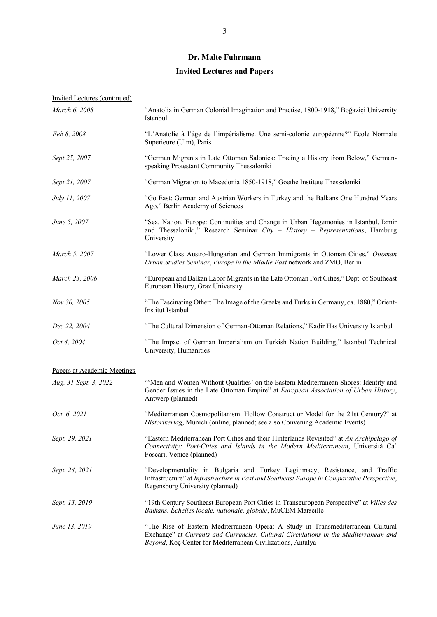# **Invited Lectures and Papers**

| Invited Lectures (continued) |                                                                                                                                                                                                                                         |
|------------------------------|-----------------------------------------------------------------------------------------------------------------------------------------------------------------------------------------------------------------------------------------|
| March 6, 2008                | "Anatolia in German Colonial Imagination and Practise, 1800-1918," Boğaziçi University<br>Istanbul                                                                                                                                      |
| Feb 8, 2008                  | "L'Anatolie à l'âge de l'impérialisme. Une semi-colonie européenne?" Ecole Normale<br>Superieure (Ulm), Paris                                                                                                                           |
| Sept 25, 2007                | "German Migrants in Late Ottoman Salonica: Tracing a History from Below," German-<br>speaking Protestant Community Thessaloniki                                                                                                         |
| Sept 21, 2007                | "German Migration to Macedonia 1850-1918," Goethe Institute Thessaloniki                                                                                                                                                                |
| July 11, 2007                | "Go East: German and Austrian Workers in Turkey and the Balkans One Hundred Years<br>Ago," Berlin Academy of Sciences                                                                                                                   |
| June 5, 2007                 | "Sea, Nation, Europe: Continuities and Change in Urban Hegemonies in Istanbul, Izmir<br>and Thessaloniki," Research Seminar City - History - Representations, Hamburg<br>University                                                     |
| March 5, 2007                | "Lower Class Austro-Hungarian and German Immigrants in Ottoman Cities," Ottoman<br>Urban Studies Seminar, Europe in the Middle East network and ZMO, Berlin                                                                             |
| March 23, 2006               | "European and Balkan Labor Migrants in the Late Ottoman Port Cities," Dept. of Southeast<br>European History, Graz University                                                                                                           |
| Nov 30, 2005                 | "The Fascinating Other: The Image of the Greeks and Turks in Germany, ca. 1880," Orient-<br>Institut Istanbul                                                                                                                           |
| Dec 22, 2004                 | "The Cultural Dimension of German-Ottoman Relations," Kadir Has University Istanbul                                                                                                                                                     |
| Oct 4, 2004                  | "The Impact of German Imperialism on Turkish Nation Building," Istanbul Technical<br>University, Humanities                                                                                                                             |
| Papers at Academic Meetings  |                                                                                                                                                                                                                                         |
| Aug. 31-Sept. 3, 2022        | "Men and Women Without Qualities' on the Eastern Mediterranean Shores: Identity and<br>Gender Issues in the Late Ottoman Empire" at <i>European Association of Urban History</i> ,<br>Antwerp (planned)                                 |
| Oct. 6, 2021                 | "Mediterranean Cosmopolitanism: Hollow Construct or Model for the 21st Century?" at<br>Historikertag, Munich (online, planned; see also Convening Academic Events)                                                                      |
| Sept. 29, 2021               | "Eastern Mediterranean Port Cities and their Hinterlands Revisited" at An Archipelago of<br>Connectivity: Port-Cities and Islands in the Modern Mediterranean, Università Ca'<br>Foscari, Venice (planned)                              |
| Sept. 24, 2021               | "Developmentality in Bulgaria and Turkey Legitimacy, Resistance, and Traffic<br>Infrastructure" at Infrastructure in East and Southeast Europe in Comparative Perspective,<br>Regensburg University (planned)                           |
| Sept. 13, 2019               | "19th Century Southeast European Port Cities in Transeuropean Perspective" at Villes des<br>Balkans. Échelles locale, nationale, globale, MuCEM Marseille                                                                               |
| June 13, 2019                | "The Rise of Eastern Mediterranean Opera: A Study in Transmediterranean Cultural<br>Exchange" at Currents and Currencies. Cultural Circulations in the Mediterranean and<br>Beyond, Koç Center for Mediterranean Civilizations, Antalya |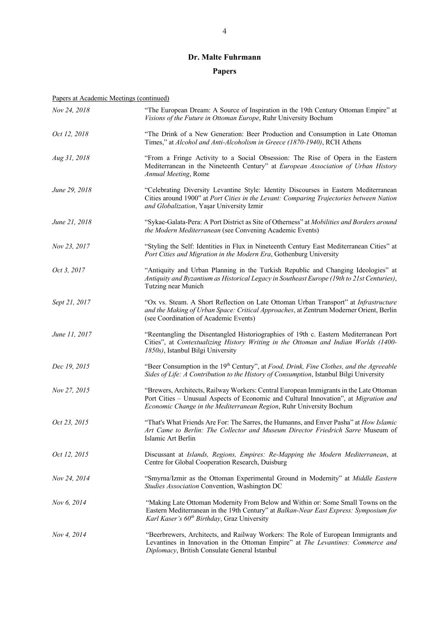## **Papers**

| Nov 24, 2018  | "The European Dream: A Source of Inspiration in the 19th Century Ottoman Empire" at<br>Visions of the Future in Ottoman Europe, Ruhr University Bochum                                                                                                |
|---------------|-------------------------------------------------------------------------------------------------------------------------------------------------------------------------------------------------------------------------------------------------------|
| Oct 12, 2018  | "The Drink of a New Generation: Beer Production and Consumption in Late Ottoman<br>Times," at Alcohol and Anti-Alcoholism in Greece (1870-1940), RCH Athens                                                                                           |
| Aug 31, 2018  | "From a Fringe Activity to a Social Obsession: The Rise of Opera in the Eastern<br>Mediterranean in the Nineteenth Century" at European Association of Urban History<br>Annual Meeting, Rome                                                          |
| June 29, 2018 | "Celebrating Diversity Levantine Style: Identity Discourses in Eastern Mediterranean<br>Cities around 1900" at Port Cities in the Levant: Comparing Trajectories between Nation<br>and Globalization, Yaşar University Izmir                          |
| June 21, 2018 | "Sykae-Galata-Pera: A Port District as Site of Otherness" at Mobilities and Borders around<br>the Modern Mediterranean (see Convening Academic Events)                                                                                                |
| Nov 23, 2017  | "Styling the Self: Identities in Flux in Nineteenth Century East Mediterranean Cities" at<br>Port Cities and Migration in the Modern Era, Gothenburg University                                                                                       |
| Oct 3, 2017   | "Antiquity and Urban Planning in the Turkish Republic and Changing Ideologies" at<br>Antiquity and Byzantium as Historical Legacy in Southeast Europe (19th to 21st Centuries),<br>Tutzing near Munich                                                |
| Sept 21, 2017 | "Ox vs. Steam. A Short Reflection on Late Ottoman Urban Transport" at Infrastructure<br>and the Making of Urban Space: Critical Approaches, at Zentrum Moderner Orient, Berlin<br>(see Coordination of Academic Events)                               |
| June 11, 2017 | "Reentangling the Disentangled Historiographies of 19th c. Eastern Mediterranean Port<br>Cities", at Contextualizing History Writing in the Ottoman and Indian Worlds (1400-<br>1850s), Istanbul Bilgi University                                     |
| Dec 19, 2015  | "Beer Consumption in the 19 <sup>th</sup> Century", at Food, Drink, Fine Clothes, and the Agreeable<br>Sides of Life: A Contribution to the History of Consumption, Istanbul Bilgi University                                                         |
| Nov 27, 2015  | "Brewers, Architects, Railway Workers: Central European Immigrants in the Late Ottoman<br>Port Cities - Unusual Aspects of Economic and Cultural Innovation", at Migration and<br>Economic Change in the Mediterranean Region, Ruhr University Bochum |
| Oct 23, 2015  | "That's What Friends Are For: The Sarres, the Humanns, and Enver Pasha" at How Islamic<br>Art Came to Berlin: The Collector and Museum Director Friedrich Sarre Museum of<br>Islamic Art Berlin                                                       |
| Oct 12, 2015  | Discussant at Islands, Regions, Empires: Re-Mapping the Modern Mediterranean, at<br>Centre for Global Cooperation Research, Duisburg                                                                                                                  |
| Nov 24, 2014  | "Smyrna/Izmir as the Ottoman Experimental Ground in Modernity" at Middle Eastern<br>Studies Association Convention, Washington DC                                                                                                                     |
| Nov 6, 2014   | "Making Late Ottoman Modernity From Below and Within or: Some Small Towns on the<br>Eastern Mediterranean in the 19th Century" at Balkan-Near East Express: Symposium for<br>Karl Kaser's 60 <sup>th</sup> Birthday, Graz University                  |
| Nov 4, 2014   | "Beerbrewers, Architects, and Railway Workers: The Role of European Immigrants and<br>Levantines in Innovation in the Ottoman Empire" at The Levantines: Commerce and<br>Diplomacy, British Consulate General Istanbul                                |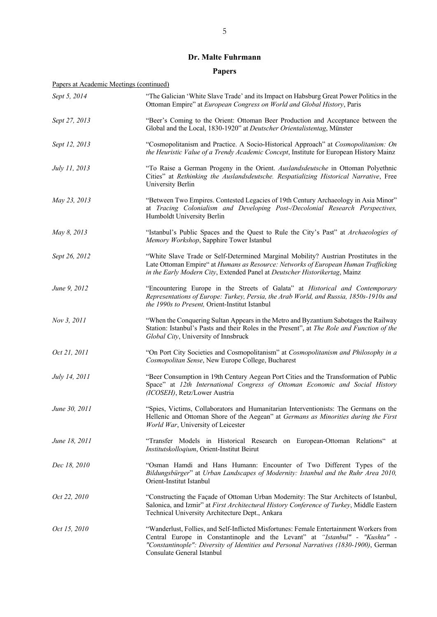## **Papers**

| Sept 5, 2014         | "The Galician 'White Slave Trade' and its Impact on Habsburg Great Power Politics in the<br>Ottoman Empire" at European Congress on World and Global History, Paris                                                                                                                           |
|----------------------|-----------------------------------------------------------------------------------------------------------------------------------------------------------------------------------------------------------------------------------------------------------------------------------------------|
| Sept 27, 2013        | "Beer's Coming to the Orient: Ottoman Beer Production and Acceptance between the<br>Global and the Local, 1830-1920" at Deutscher Orientalistentag, Münster                                                                                                                                   |
| Sept 12, 2013        | "Cosmopolitanism and Practice. A Socio-Historical Approach" at Cosmopolitanism: On<br>the Heuristic Value of a Trendy Academic Concept, Institute for European History Mainz                                                                                                                  |
| July 11, 2013        | "To Raise a German Progeny in the Orient. Auslandsdeutsche in Ottoman Polyethnic<br>Cities" at Rethinking the Auslandsdeutsche. Respatializing Historical Narrative, Free<br>University Berlin                                                                                                |
| May 23, 2013         | "Between Two Empires. Contested Legacies of 19th Century Archaeology in Asia Minor"<br>at Tracing Colonialism and Developing Post-/Decolonial Research Perspectives,<br>Humboldt University Berlin                                                                                            |
| May 8, 2013          | "Istanbul's Public Spaces and the Quest to Rule the City's Past" at Archaeologies of<br>Memory Workshop, Sapphire Tower Istanbul                                                                                                                                                              |
| Sept 26, 2012        | "White Slave Trade or Self-Determined Marginal Mobility? Austrian Prostitutes in the<br>Late Ottoman Empire" at Humans as Resource: Networks of European Human Trafficking<br>in the Early Modern City, Extended Panel at Deutscher Historikertag, Mainz                                      |
| June 9, 2012         | "Encountering Europe in the Streets of Galata" at Historical and Contemporary<br>Representations of Europe: Turkey, Persia, the Arab World, and Russia, 1850s-1910s and<br>the 1990s to Present, Orient-Institut Istanbul                                                                     |
| Nov 3, 2011          | "When the Conquering Sultan Appears in the Metro and Byzantium Sabotages the Railway<br>Station: Istanbul's Pasts and their Roles in the Present", at The Role and Function of the<br>Global City, University of Innsbruck                                                                    |
| Oct 21, 2011         | "On Port City Societies and Cosmopolitanism" at Cosmopolitanism and Philosophy in a<br>Cosmopolitan Sense, New Europe College, Bucharest                                                                                                                                                      |
| <i>July 14, 2011</i> | "Beer Consumption in 19th Century Aegean Port Cities and the Transformation of Public<br>Space" at 12th International Congress of Ottoman Economic and Social History<br>(ICOSEH), Retz/Lower Austria                                                                                         |
| June 30, 2011        | "Spies, Victims, Collaborators and Humanitarian Interventionists: The Germans on the<br>Hellenic and Ottoman Shore of the Aegean" at Germans as Minorities during the First<br>World War, University of Leicester                                                                             |
| June 18, 2011        | "Transfer Models in Historical Research on European-Ottoman Relations" at<br>Institutskolloqium, Orient-Institut Beirut                                                                                                                                                                       |
| Dec 18, 2010         | "Osman Hamdi and Hans Humann: Encounter of Two Different Types of the<br>Bildungsbürger" at Urban Landscapes of Modernity: Istanbul and the Ruhr Area 2010,<br>Orient-Institut Istanbul                                                                                                       |
| Oct 22, 2010         | "Constructing the Façade of Ottoman Urban Modernity: The Star Architects of Istanbul,<br>Salonica, and Izmir" at First Architectural History Conference of Turkey, Middle Eastern<br>Technical University Architecture Dept., Ankara                                                          |
| Oct 15, 2010         | "Wanderlust, Follies, and Self-Inflicted Misfortunes: Female Entertainment Workers from<br>Central Europe in Constantinople and the Levant" at "Istanbul" - "Kushta" -<br>"Constantinople": Diversity of Identities and Personal Narratives (1830-1900), German<br>Consulate General Istanbul |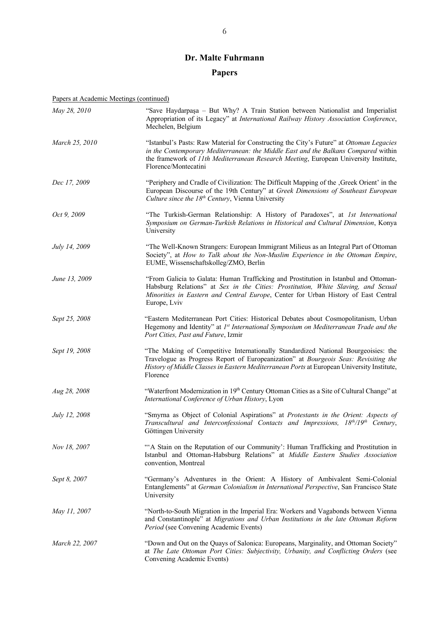## **Papers**

| May 28, 2010   | "Save Haydarpaşa - But Why? A Train Station between Nationalist and Imperialist<br>Appropriation of its Legacy" at International Railway History Association Conference,<br>Mechelen, Belgium                                                                                                 |
|----------------|-----------------------------------------------------------------------------------------------------------------------------------------------------------------------------------------------------------------------------------------------------------------------------------------------|
| March 25, 2010 | "Istanbul's Pasts: Raw Material for Constructing the City's Future" at Ottoman Legacies<br>in the Contemporary Mediterranean: the Middle East and the Balkans Compared within<br>the framework of 11th Mediterranean Research Meeting, European University Institute,<br>Florence/Montecatini |
| Dec 17, 2009   | "Periphery and Cradle of Civilization: The Difficult Mapping of the , Greek Orient' in the<br>European Discourse of the 19th Century" at Greek Dimensions of Southeast European<br>Culture since the 18 <sup>th</sup> Century, Vienna University                                              |
| Oct 9, 2009    | "The Turkish-German Relationship: A History of Paradoxes", at Ist International<br>Symposium on German-Turkish Relations in Historical and Cultural Dimension, Konya<br>University                                                                                                            |
| July 14, 2009  | "The Well-Known Strangers: European Immigrant Milieus as an Integral Part of Ottoman<br>Society", at How to Talk about the Non-Muslim Experience in the Ottoman Empire,<br>EUME, Wissenschaftskolleg/ZMO, Berlin                                                                              |
| June 13, 2009  | "From Galicia to Galata: Human Trafficking and Prostitution in Istanbul and Ottoman-<br>Habsburg Relations" at Sex in the Cities: Prostitution, White Slaving, and Sexual<br>Minorities in Eastern and Central Europe, Center for Urban History of East Central<br>Europe, Lviv               |
| Sept 25, 2008  | "Eastern Mediterranean Port Cities: Historical Debates about Cosmopolitanism, Urban<br>Hegemony and Identity" at 1st International Symposium on Mediterranean Trade and the<br>Port Cities, Past and Future, Izmir                                                                            |
| Sept 19, 2008  | "The Making of Competitive Internationally Standardized National Bourgeoisies: the<br>Travelogue as Progress Report of Europeanization" at Bourgeois Seas: Revisiting the<br>History of Middle Classes in Eastern Mediterranean Ports at European University Institute,<br>Florence           |
| Aug 28, 2008   | "Waterfront Modernization in 19th Century Ottoman Cities as a Site of Cultural Change" at<br>International Conference of Urban History, Lyon                                                                                                                                                  |
| July 12, 2008  | "Smyrna as Object of Colonial Aspirations" at Protestants in the Orient: Aspects of<br>Transcultural and Interconfessional Contacts and Impressions, 18th/19th Century,<br>Göttingen University                                                                                               |
| Nov 18, 2007   | "A Stain on the Reputation of our Community': Human Trafficking and Prostitution in<br>Istanbul and Ottoman-Habsburg Relations" at Middle Eastern Studies Association<br>convention, Montreal                                                                                                 |
| Sept 8, 2007   | "Germany's Adventures in the Orient: A History of Ambivalent Semi-Colonial<br>Entanglements" at German Colonialism in International Perspective, San Francisco State<br>University                                                                                                            |
| May 11, 2007   | "North-to-South Migration in the Imperial Era: Workers and Vagabonds between Vienna<br>and Constantinople" at Migrations and Urban Institutions in the late Ottoman Reform<br>Period (see Convening Academic Events)                                                                          |
| March 22, 2007 | "Down and Out on the Quays of Salonica: Europeans, Marginality, and Ottoman Society"<br>at The Late Ottoman Port Cities: Subjectivity, Urbanity, and Conflicting Orders (see<br>Convening Academic Events)                                                                                    |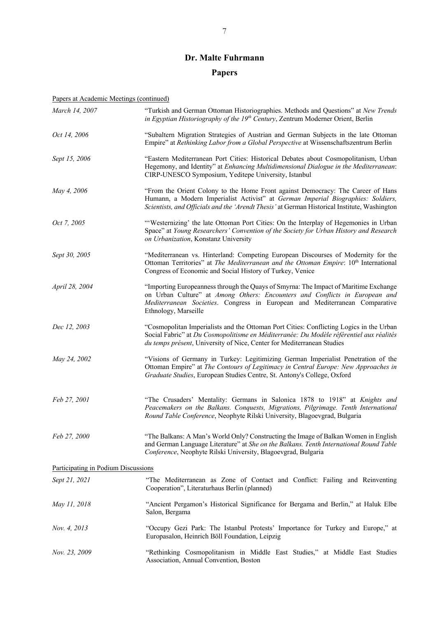## **Papers**

| March 14, 2007                      | "Turkish and German Ottoman Historiographies. Methods and Questions" at New Trends<br>in Egyptian Historiography of the $19th$ Century, Zentrum Moderner Orient, Berlin                                                                                                    |
|-------------------------------------|----------------------------------------------------------------------------------------------------------------------------------------------------------------------------------------------------------------------------------------------------------------------------|
| Oct 14, 2006                        | "Subaltern Migration Strategies of Austrian and German Subjects in the late Ottoman<br>Empire" at Rethinking Labor from a Global Perspective at Wissenschaftszentrum Berlin                                                                                                |
| Sept 15, 2006                       | "Eastern Mediterranean Port Cities: Historical Debates about Cosmopolitanism, Urban<br>Hegemony, and Identity" at Enhancing Multidimensional Dialogue in the Mediterranean:<br>CIRP-UNESCO Symposium, Yeditepe University, Istanbul                                        |
| May 4, 2006                         | "From the Orient Colony to the Home Front against Democracy: The Career of Hans<br>Humann, a Modern Imperialist Activist" at German Imperial Biographies: Soldiers,<br>Scientists, and Officials and the 'Arendt Thesis' at German Historical Institute, Washington        |
| Oct 7, 2005                         | "Westernizing' the late Ottoman Port Cities: On the Interplay of Hegemonies in Urban<br>Space" at Young Researchers' Convention of the Society for Urban History and Research<br>on Urbanization, Konstanz University                                                      |
| Sept 30, 2005                       | "Mediterranean vs. Hinterland: Competing European Discourses of Modernity for the<br>Ottoman Territories" at The Mediterranean and the Ottoman Empire: 10 <sup>th</sup> International<br>Congress of Economic and Social History of Turkey, Venice                         |
| April 28, 2004                      | "Importing Europeanness through the Quays of Smyrna: The Impact of Maritime Exchange<br>on Urban Culture" at Among Others: Encounters and Conflicts in European and<br>Mediterranean Societies. Congress in European and Mediterranean Comparative<br>Ethnology, Marseille |
| Dec 12, 2003                        | "Cosmopolitan Imperialists and the Ottoman Port Cities: Conflicting Logics in the Urban<br>Social Fabric" at Du Cosmopolitisme en Méditerranée: Du Modèle référentiel aux réalités<br>du temps présent, University of Nice, Center for Mediterranean Studies               |
| May 24, 2002                        | "Visions of Germany in Turkey: Legitimizing German Imperialist Penetration of the<br>Ottoman Empire" at The Contours of Legitimacy in Central Europe: New Approaches in<br>Graduate Studies, European Studies Centre, St. Antony's College, Oxford                         |
| Feb 27, 2001                        | "The Crusaders' Mentality: Germans in Salonica 1878 to 1918" at Knights and<br>Peacemakers on the Balkans. Conquests, Migrations, Pilgrimage. Tenth International<br>Round Table Conference, Neophyte Rilski University, Blagoevgrad, Bulgaria                             |
| Feb 27, 2000                        | "The Balkans: A Man's World Only? Constructing the Image of Balkan Women in English<br>and German Language Literature" at She on the Balkans. Tenth International Round Table<br>Conference, Neophyte Rilski University, Blagoevgrad, Bulgaria                             |
| Participating in Podium Discussions |                                                                                                                                                                                                                                                                            |
| Sept 21, 2021                       | "The Mediterranean as Zone of Contact and Conflict: Failing and Reinventing<br>Cooperation", Literaturhaus Berlin (planned)                                                                                                                                                |
| May 11, 2018                        | "Ancient Pergamon's Historical Significance for Bergama and Berlin," at Haluk Elbe<br>Salon, Bergama                                                                                                                                                                       |
| Nov. 4, 2013                        | "Occupy Gezi Park: The Istanbul Protests' Importance for Turkey and Europe," at<br>Europasalon, Heinrich Böll Foundation, Leipzig                                                                                                                                          |
| Nov. 23, 2009                       | "Rethinking Cosmopolitanism in Middle East Studies," at Middle East Studies<br>Association, Annual Convention, Boston                                                                                                                                                      |